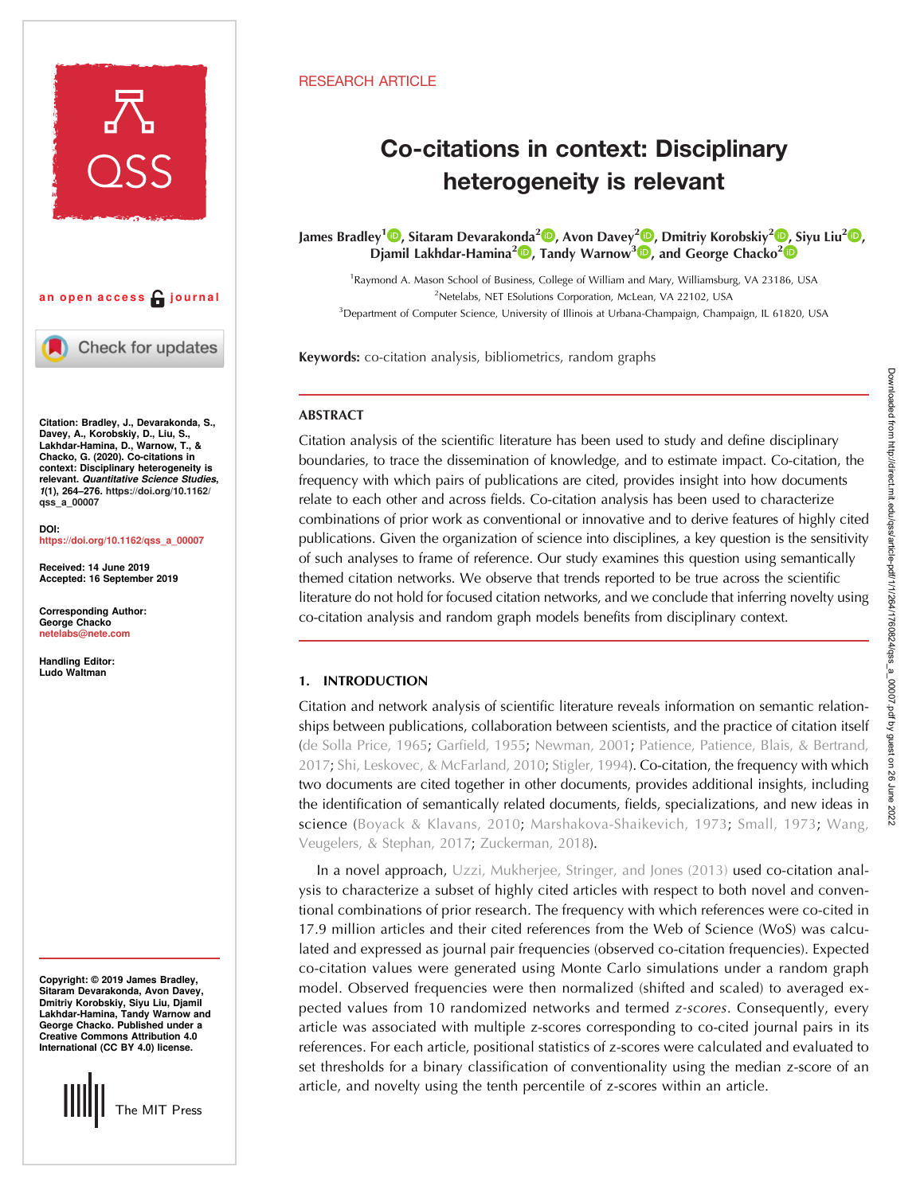

# an open access  $\bigcap$  journal

Check for updates

Citation: Bradley, J., Devarakonda, S., Davey, A., Korobskiy, D., Liu, S., Lakhdar-Hamina, D., Warnow, T., & Chacko, G. (2020). Co-citations in context: Disciplinary heterogeneity is relevant. Quantitative Science Studies,<br>1(1), 264-276. [https://doi.org/10.1162/](https://doi.org/10.1162/qss_a_00007) [qss\\_a\\_00007](https://doi.org/10.1162/qss_a_00007)

DOI: [https://doi.org/10.1162/qss\\_a\\_00007](https://doi.org/10.1162/qss_a_00007)

Received: 14 June 2019 Accepted: 16 September 2019

Corresponding Author: George Chacko [netelabs@nete.com](mailto:netelabs@nete.com)

Handling Editor: Ludo Waltman

#### Copyright: © 2019 James Bradley, Sitaram Devarakonda, Avon Davey, Dmitriy Korobskiy, Siyu Liu, Djamil Lakhdar-Hamina, Tandy Warnow and George Chacko. Published under a Creative Commons Attribution 4.0 International (CC BY 4.0) license.



# RESEARCH ARTICLE

# Co-citations in context: Disciplinary heterogeneity is relevant

James Bradley<sup>1</sup><sup>®</sup>[,](https://orcid.org/0000-0002-7909-0218) Sitaram Devarako[nda](https://orcid.org/0000-0002-8209-093X)<sup>2</sup><sup>®</sup>, Avon Davey<sup>2</sup><sup>®</sup>, Dmitriy Korobskiy<sup>2</sup><sup>®</sup>, [S](https://orcid.org/0000-0002-2127-1892)iyu Liu<sup>2</sup><sup>®</sup>, Djamil Lakhdar-Hamina<sup>2</sup><sup>1</sup>[,](https://orcid.org/0000-0001-7717-3514) Tandy Warnow<sup>3</sup><sup>1</sup>, and George Chacko<sup>2</sup><sup><sup>6</sup></sup>

<sup>1</sup>Raymond A. Mason School of Business, College of William and Mary, Williamsburg, VA 23186, USA <sup>2</sup>Netelabs, NET ESolutions Corporation, McLean, VA 22102, USA 3 Department of Computer Science, University of Illinois at Urbana-Champaign, Champaign, IL 61820, USA

Keywords: co-citation analysis, bibliometrics, random graphs

# ABSTRACT

Citation analysis of the scientific literature has been used to study and define disciplinary boundaries, to trace the dissemination of knowledge, and to estimate impact. Co-citation, the frequency with which pairs of publications are cited, provides insight into how documents relate to each other and across fields. Co-citation analysis has been used to characterize combinations of prior work as conventional or innovative and to derive features of highly cited publications. Given the organization of science into disciplines, a key question is the sensitivity of such analyses to frame of reference. Our study examines this question using semantically themed citation networks. We observe that trends reported to be true across the scientific literature do not hold for focused citation networks, and we conclude that inferring novelty using co-citation analysis and random graph models benefits from disciplinary context.

# 1. INTRODUCTION

Citation and network analysis of scientific literature reveals information on semantic relationships between publications, collaboration between scientists, and the practice of citation itself ([de Solla Price, 1965;](#page-12-0) [Garfield, 1955;](#page-12-0) [Newman, 2001](#page-12-0); [Patience, Patience, Blais, & Bertrand,](#page-12-0) [2017;](#page-12-0) [Shi, Leskovec, & McFarland, 2010](#page-12-0); [Stigler, 1994\)](#page-12-0). Co-citation, the frequency with which two documents are cited together in other documents, provides additional insights, including the identification of semantically related documents, fields, specializations, and new ideas in science ([Boyack & Klavans, 2010](#page-12-0); [Marshakova-Shaikevich, 1973;](#page-12-0) [Small, 1973;](#page-12-0) [Wang,](#page-12-0) [Veugelers, & Stephan, 2017;](#page-12-0) [Zuckerman, 2018\)](#page-12-0).

In a novel approach, [Uzzi, Mukherjee, Stringer, and Jones \(2013\)](#page-12-0) used co-citation analysis to characterize a subset of highly cited articles with respect to both novel and conventional combinations of prior research. The frequency with which references were co-cited in 17.9 million articles and their cited references from the Web of Science (WoS) was calculated and expressed as journal pair frequencies (observed co-citation frequencies). Expected co-citation values were generated using Monte Carlo simulations under a random graph model. Observed frequencies were then normalized (shifted and scaled) to averaged expected values from 10 randomized networks and termed z-scores. Consequently, every article was associated with multiple z-scores corresponding to co-cited journal pairs in its references. For each article, positional statistics of z-scores were calculated and evaluated to set thresholds for a binary classification of conventionality using the median z-score of an article, and novelty using the tenth percentile of z-scores within an article.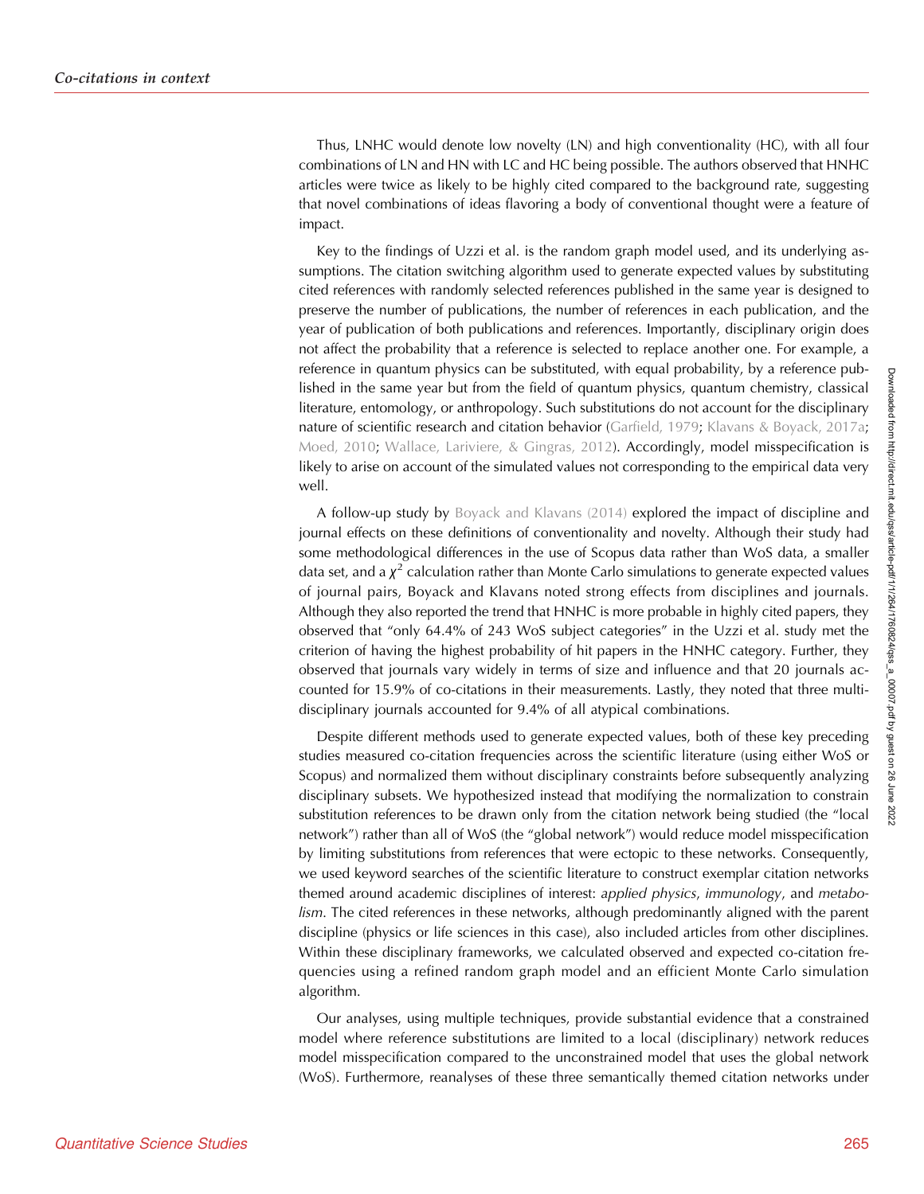Thus, LNHC would denote low novelty (LN) and high conventionality (HC), with all four combinations of LN and HN with LC and HC being possible. The authors observed that HNHC articles were twice as likely to be highly cited compared to the background rate, suggesting that novel combinations of ideas flavoring a body of conventional thought were a feature of impact.

Key to the findings of Uzzi et al. is the random graph model used, and its underlying assumptions. The citation switching algorithm used to generate expected values by substituting cited references with randomly selected references published in the same year is designed to preserve the number of publications, the number of references in each publication, and the year of publication of both publications and references. Importantly, disciplinary origin does not affect the probability that a reference is selected to replace another one. For example, a reference in quantum physics can be substituted, with equal probability, by a reference published in the same year but from the field of quantum physics, quantum chemistry, classical literature, entomology, or anthropology. Such substitutions do not account for the disciplinary nature of scientific research and citation behavior [\(Garfield, 1979](#page-12-0); [Klavans & Boyack, 2017a](#page-12-0); [Moed, 2010](#page-12-0); [Wallace, Lariviere, & Gingras, 2012](#page-12-0)). Accordingly, model misspecification is likely to arise on account of the simulated values not corresponding to the empirical data very well.

A follow-up study by [Boyack and Klavans \(2014\)](#page-12-0) explored the impact of discipline and journal effects on these definitions of conventionality and novelty. Although their study had some methodological differences in the use of Scopus data rather than WoS data, a smaller data set, and a  $\chi^2$  calculation rather than Monte Carlo simulations to generate expected values of journal pairs, Boyack and Klavans noted strong effects from disciplines and journals. Although they also reported the trend that HNHC is more probable in highly cited papers, they observed that "only 64.4% of 243 WoS subject categories" in the Uzzi et al. study met the criterion of having the highest probability of hit papers in the HNHC category. Further, they observed that journals vary widely in terms of size and influence and that 20 journals accounted for 15.9% of co-citations in their measurements. Lastly, they noted that three multidisciplinary journals accounted for 9.4% of all atypical combinations.

Despite different methods used to generate expected values, both of these key preceding studies measured co-citation frequencies across the scientific literature (using either WoS or Scopus) and normalized them without disciplinary constraints before subsequently analyzing disciplinary subsets. We hypothesized instead that modifying the normalization to constrain substitution references to be drawn only from the citation network being studied (the "local network") rather than all of WoS (the "global network") would reduce model misspecification by limiting substitutions from references that were ectopic to these networks. Consequently, we used keyword searches of the scientific literature to construct exemplar citation networks themed around academic disciplines of interest: applied physics, immunology, and metabolism. The cited references in these networks, although predominantly aligned with the parent discipline (physics or life sciences in this case), also included articles from other disciplines. Within these disciplinary frameworks, we calculated observed and expected co-citation frequencies using a refined random graph model and an efficient Monte Carlo simulation algorithm.

Our analyses, using multiple techniques, provide substantial evidence that a constrained model where reference substitutions are limited to a local (disciplinary) network reduces model misspecification compared to the unconstrained model that uses the global network (WoS). Furthermore, reanalyses of these three semantically themed citation networks under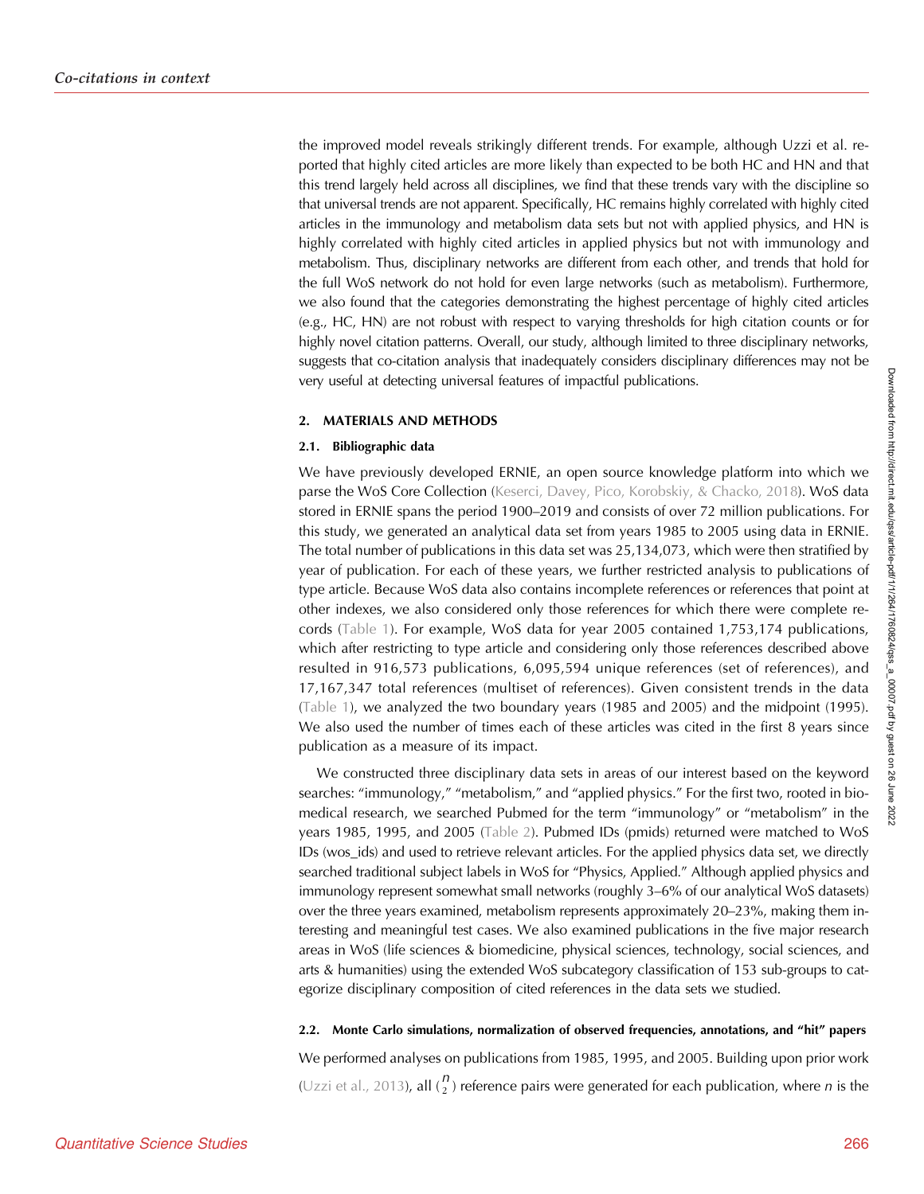the improved model reveals strikingly different trends. For example, although Uzzi et al. reported that highly cited articles are more likely than expected to be both HC and HN and that this trend largely held across all disciplines, we find that these trends vary with the discipline so that universal trends are not apparent. Specifically, HC remains highly correlated with highly cited articles in the immunology and metabolism data sets but not with applied physics, and HN is highly correlated with highly cited articles in applied physics but not with immunology and metabolism. Thus, disciplinary networks are different from each other, and trends that hold for the full WoS network do not hold for even large networks (such as metabolism). Furthermore, we also found that the categories demonstrating the highest percentage of highly cited articles (e.g., HC, HN) are not robust with respect to varying thresholds for high citation counts or for highly novel citation patterns. Overall, our study, although limited to three disciplinary networks, suggests that co-citation analysis that inadequately considers disciplinary differences may not be very useful at detecting universal features of impactful publications.

### 2. MATERIALS AND METHODS

## 2.1. Bibliographic data

We have previously developed ERNIE, an open source knowledge platform into which we parse the WoS Core Collection [\(Keserci, Davey, Pico, Korobskiy, & Chacko, 2018\)](#page-12-0). WoS data stored in ERNIE spans the period 1900–2019 and consists of over 72 million publications. For this study, we generated an analytical data set from years 1985 to 2005 using data in ERNIE. The total number of publications in this data set was 25,134,073, which were then stratified by year of publication. For each of these years, we further restricted analysis to publications of type article. Because WoS data also contains incomplete references or references that point at other indexes, we also considered only those references for which there were complete records ([Table 1\)](#page-3-0). For example, WoS data for year 2005 contained 1,753,174 publications, which after restricting to type article and considering only those references described above resulted in 916,573 publications, 6,095,594 unique references (set of references), and 17,167,347 total references (multiset of references). Given consistent trends in the data ([Table 1](#page-3-0)), we analyzed the two boundary years (1985 and 2005) and the midpoint (1995). We also used the number of times each of these articles was cited in the first 8 years since publication as a measure of its impact.

We constructed three disciplinary data sets in areas of our interest based on the keyword searches: "immunology," "metabolism," and "applied physics." For the first two, rooted in biomedical research, we searched Pubmed for the term "immunology" or "metabolism" in the years 1985, 1995, and 2005 ([Table 2](#page-3-0)). Pubmed IDs (pmids) returned were matched to WoS IDs (wos\_ids) and used to retrieve relevant articles. For the applied physics data set, we directly searched traditional subject labels in WoS for "Physics, Applied." Although applied physics and immunology represent somewhat small networks (roughly 3–6% of our analytical WoS datasets) over the three years examined, metabolism represents approximately 20–23%, making them interesting and meaningful test cases. We also examined publications in the five major research areas in WoS (life sciences & biomedicine, physical sciences, technology, social sciences, and arts & humanities) using the extended WoS subcategory classification of 153 sub-groups to categorize disciplinary composition of cited references in the data sets we studied.

2.2. Monte Carlo simulations, normalization of observed frequencies, annotations, and "hit" papers We performed analyses on publications from 1985, 1995, and 2005. Building upon prior work ([Uzzi et al., 2013\)](#page-12-0), all  $\binom{n}{2}$  reference pairs were generated for each publication, where n is the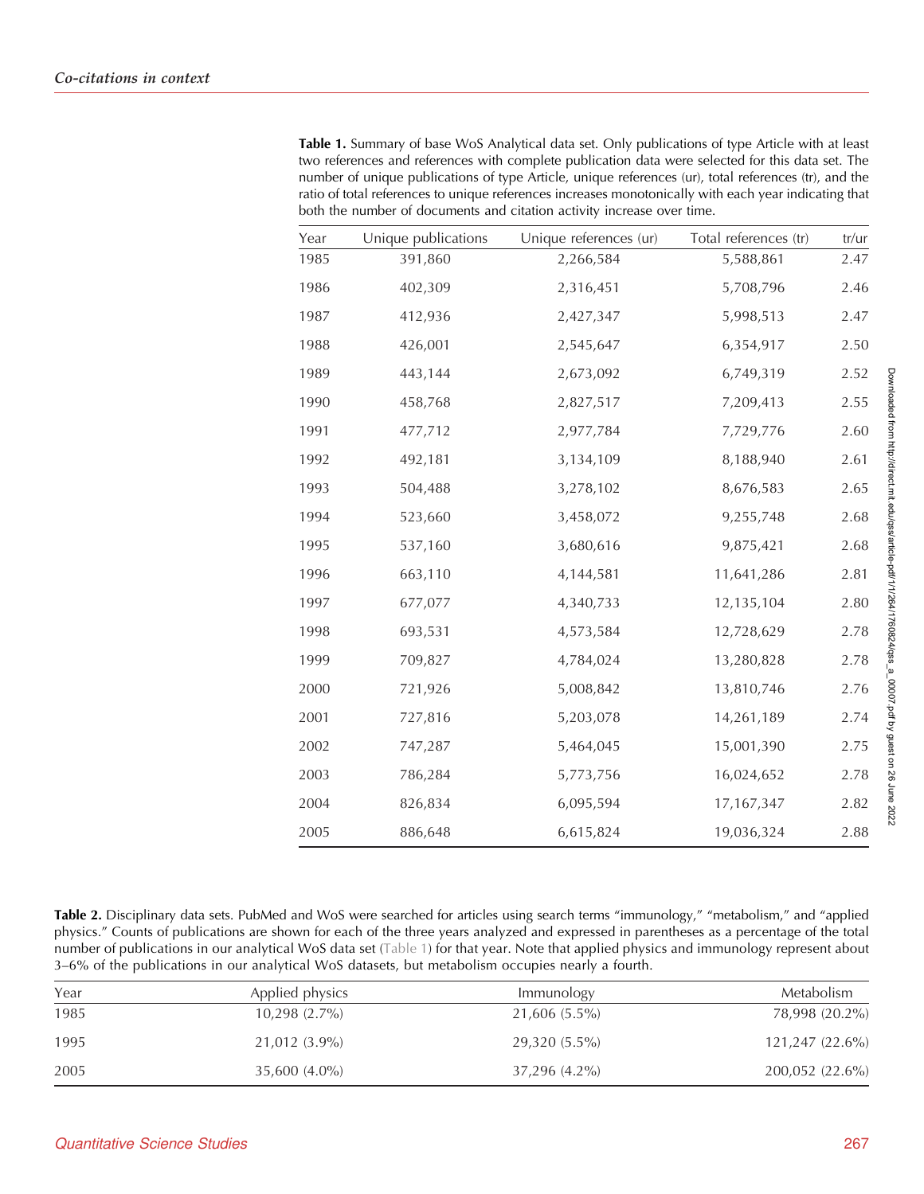| Year | Unique publications | Unique references (ur) | Total references (tr) | tr/ur |
|------|---------------------|------------------------|-----------------------|-------|
| 1985 | 391,860             | 2,266,584              | 5,588,861             | 2.47  |
| 1986 | 402,309             | 2,316,451              | 5,708,796             | 2.46  |
| 1987 | 412,936             | 2,427,347              | 5,998,513             | 2.47  |
| 1988 | 426,001             | 2,545,647              | 6,354,917             | 2.50  |
| 1989 | 443,144             | 2,673,092              | 6,749,319             | 2.52  |
| 1990 | 458,768             | 2,827,517              | 7,209,413             | 2.55  |
| 1991 | 477,712             | 2,977,784              | 7,729,776             | 2.60  |
| 1992 | 492,181             | 3,134,109              | 8,188,940             | 2.61  |
| 1993 | 504,488             | 3,278,102              | 8,676,583             | 2.65  |
| 1994 | 523,660             | 3,458,072              | 9,255,748             | 2.68  |
| 1995 | 537,160             | 3,680,616              | 9,875,421             | 2.68  |
| 1996 | 663,110             | 4,144,581              | 11,641,286            | 2.81  |
| 1997 | 677,077             | 4,340,733              | 12,135,104            | 2.80  |
| 1998 | 693,531             | 4,573,584              | 12,728,629            | 2.78  |
| 1999 | 709,827             | 4,784,024              | 13,280,828            | 2.78  |
| 2000 | 721,926             | 5,008,842              | 13,810,746            | 2.76  |
| 2001 | 727,816             | 5,203,078              | 14,261,189            | 2.74  |
| 2002 | 747,287             | 5,464,045              | 15,001,390            | 2.75  |
| 2003 | 786,284             | 5,773,756              | 16,024,652            | 2.78  |
| 2004 | 826,834             | 6,095,594              | 17,167,347            | 2.82  |
| 2005 | 886,648             | 6,615,824              | 19,036,324            | 2.88  |

<span id="page-3-0"></span>Table 1. Summary of base WoS Analytical data set. Only publications of type Article with at least two references and references with complete publication data were selected for this data set. The number of unique publications of type Article, unique references (ur), total references (tr), and the ratio of total references to unique references increases monotonically with each year indicating that both the number of documents and citation activity increase over time.

Table 2. Disciplinary data sets. PubMed and WoS were searched for articles using search terms "immunology," "metabolism," and "applied physics." Counts of publications are shown for each of the three years analyzed and expressed in parentheses as a percentage of the total number of publications in our analytical WoS data set (Table 1) for that year. Note that applied physics and immunology represent about 3–6% of the publications in our analytical WoS datasets, but metabolism occupies nearly a fourth.

| Year | Applied physics    | Immunology      | Metabolism        |
|------|--------------------|-----------------|-------------------|
| 1985 | $10,298$ $(2.7\%)$ | $21,606(5.5\%)$ | 78,998 (20.2%)    |
| 1995 | 21,012 (3.9%)      | 29,320 (5.5%)   | $121,247(22.6\%)$ |
| 2005 | $35,600$ $(4.0\%)$ | 37,296 (4.2%)   | 200,052 (22.6%)   |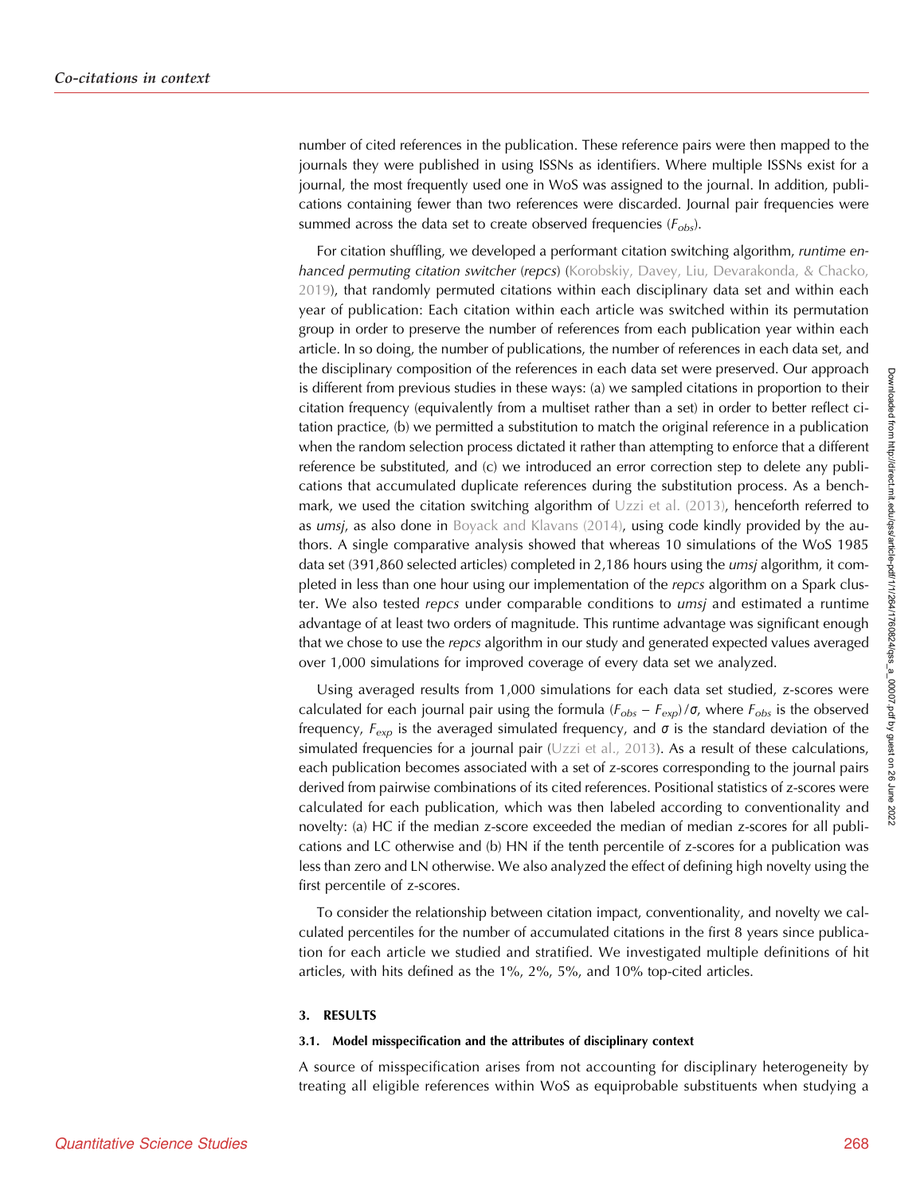number of cited references in the publication. These reference pairs were then mapped to the journals they were published in using ISSNs as identifiers. Where multiple ISSNs exist for a journal, the most frequently used one in WoS was assigned to the journal. In addition, publications containing fewer than two references were discarded. Journal pair frequencies were summed across the data set to create observed frequencies  $(F_{obs})$ .

For citation shuffling, we developed a performant citation switching algorithm, *runtime en-*hanced permuting citation switcher (repcs) [\(Korobskiy, Davey, Liu, Devarakonda, & Chacko,](#page-12-0) [2019](#page-12-0)), that randomly permuted citations within each disciplinary data set and within each year of publication: Each citation within each article was switched within its permutation group in order to preserve the number of references from each publication year within each article. In so doing, the number of publications, the number of references in each data set, and the disciplinary composition of the references in each data set were preserved. Our approach is different from previous studies in these ways: (a) we sampled citations in proportion to their citation frequency (equivalently from a multiset rather than a set) in order to better reflect citation practice, (b) we permitted a substitution to match the original reference in a publication when the random selection process dictated it rather than attempting to enforce that a different reference be substituted, and (c) we introduced an error correction step to delete any publications that accumulated duplicate references during the substitution process. As a benchmark, we used the citation switching algorithm of  $Uzzi$  et al. (2013), henceforth referred to as *umsj*, as also done in [Boyack and Klavans \(2014\),](#page-12-0) using code kindly provided by the authors. A single comparative analysis showed that whereas 10 simulations of the WoS 1985 data set (391,860 selected articles) completed in 2,186 hours using the *umsj* algorithm, it completed in less than one hour using our implementation of the repcs algorithm on a Spark cluster. We also tested repcs under comparable conditions to umsj and estimated a runtime advantage of at least two orders of magnitude. This runtime advantage was significant enough that we chose to use the repcs algorithm in our study and generated expected values averaged over 1,000 simulations for improved coverage of every data set we analyzed.

Using averaged results from 1,000 simulations for each data set studied, z-scores were calculated for each journal pair using the formula ( $F_{obs} - F_{exp}/\sigma$ , where  $F_{obs}$  is the observed frequency,  $F_{exp}$  is the averaged simulated frequency, and  $\sigma$  is the standard deviation of the simulated frequencies for a journal pair ( $Uzzi$  et al., 2013). As a result of these calculations, each publication becomes associated with a set of z-scores corresponding to the journal pairs derived from pairwise combinations of its cited references. Positional statistics of z-scores were calculated for each publication, which was then labeled according to conventionality and novelty: (a) HC if the median z-score exceeded the median of median z-scores for all publications and LC otherwise and (b) HN if the tenth percentile of z-scores for a publication was less than zero and LN otherwise. We also analyzed the effect of defining high novelty using the first percentile of z-scores.

To consider the relationship between citation impact, conventionality, and novelty we calculated percentiles for the number of accumulated citations in the first 8 years since publication for each article we studied and stratified. We investigated multiple definitions of hit articles, with hits defined as the 1%, 2%, 5%, and 10% top-cited articles.

#### 3. RESULTS

#### 3.1. Model misspecification and the attributes of disciplinary context

A source of misspecification arises from not accounting for disciplinary heterogeneity by treating all eligible references within WoS as equiprobable substituents when studying a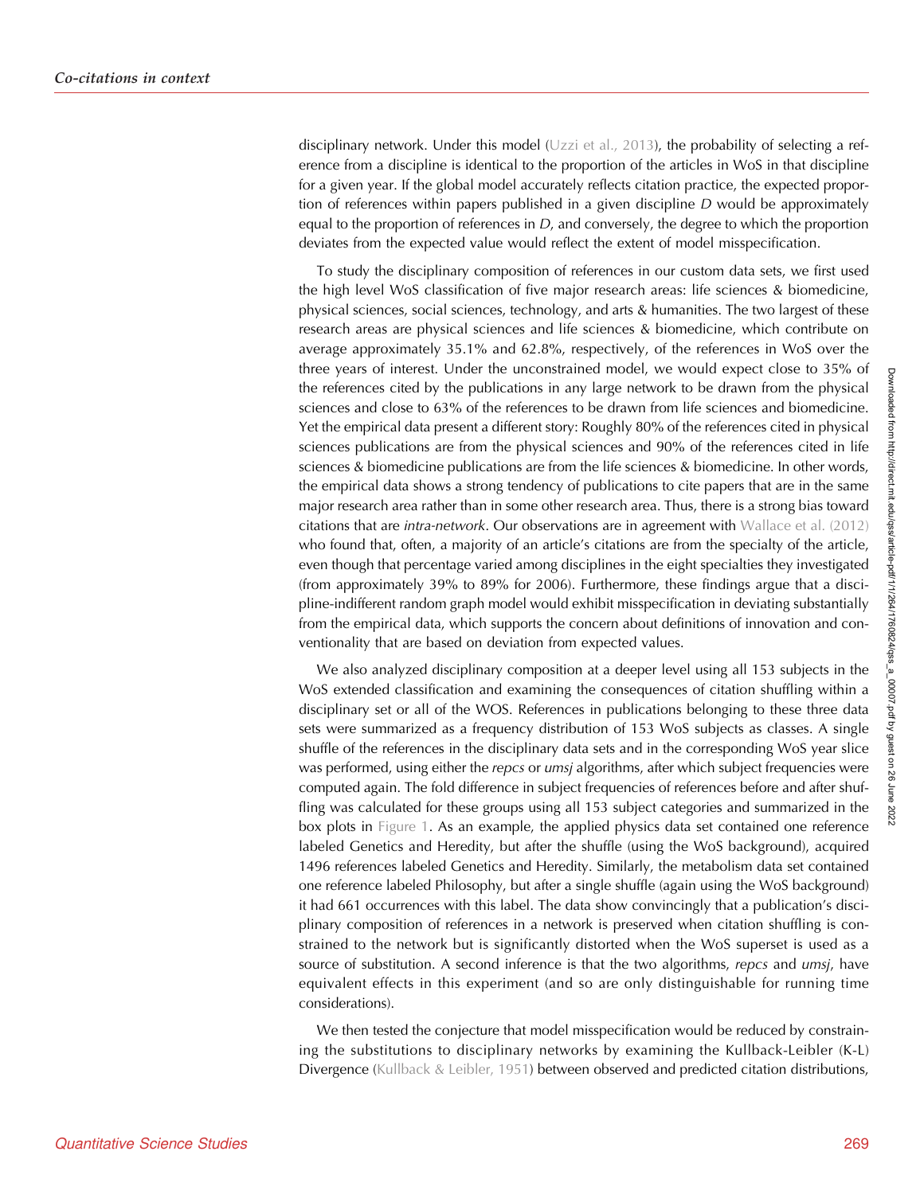disciplinary network. Under this model ( $Uzz$  et al., 2013), the probability of selecting a reference from a discipline is identical to the proportion of the articles in WoS in that discipline for a given year. If the global model accurately reflects citation practice, the expected proportion of references within papers published in a given discipline  $D$  would be approximately equal to the proportion of references in  $D$ , and conversely, the degree to which the proportion deviates from the expected value would reflect the extent of model misspecification.

To study the disciplinary composition of references in our custom data sets, we first used the high level WoS classification of five major research areas: life sciences & biomedicine, physical sciences, social sciences, technology, and arts & humanities. The two largest of these research areas are physical sciences and life sciences & biomedicine, which contribute on average approximately 35.1% and 62.8%, respectively, of the references in WoS over the three years of interest. Under the unconstrained model, we would expect close to 35% of the references cited by the publications in any large network to be drawn from the physical sciences and close to 63% of the references to be drawn from life sciences and biomedicine. Yet the empirical data present a different story: Roughly 80% of the references cited in physical sciences publications are from the physical sciences and 90% of the references cited in life sciences & biomedicine publications are from the life sciences & biomedicine. In other words, the empirical data shows a strong tendency of publications to cite papers that are in the same major research area rather than in some other research area. Thus, there is a strong bias toward citations that are intra-network. Our observations are in agreement with [Wallace et al. \(2012\)](#page-12-0) who found that, often, a majority of an article's citations are from the specialty of the article, even though that percentage varied among disciplines in the eight specialties they investigated (from approximately 39% to 89% for 2006). Furthermore, these findings argue that a discipline-indifferent random graph model would exhibit misspecification in deviating substantially from the empirical data, which supports the concern about definitions of innovation and conventionality that are based on deviation from expected values.

We also analyzed disciplinary composition at a deeper level using all 153 subjects in the WoS extended classification and examining the consequences of citation shuffling within a disciplinary set or all of the WOS. References in publications belonging to these three data sets were summarized as a frequency distribution of 153 WoS subjects as classes. A single shuffle of the references in the disciplinary data sets and in the corresponding WoS year slice was performed, using either the repcs or *umsj* algorithms, after which subject frequencies were computed again. The fold difference in subject frequencies of references before and after shuffling was calculated for these groups using all 153 subject categories and summarized in the box plots in [Figure 1](#page-6-0). As an example, the applied physics data set contained one reference labeled Genetics and Heredity, but after the shuffle (using the WoS background), acquired 1496 references labeled Genetics and Heredity. Similarly, the metabolism data set contained one reference labeled Philosophy, but after a single shuffle (again using the WoS background) it had 661 occurrences with this label. The data show convincingly that a publication's disciplinary composition of references in a network is preserved when citation shuffling is constrained to the network but is significantly distorted when the WoS superset is used as a source of substitution. A second inference is that the two algorithms, repcs and umsi, have equivalent effects in this experiment (and so are only distinguishable for running time considerations).

We then tested the conjecture that model misspecification would be reduced by constraining the substitutions to disciplinary networks by examining the Kullback-Leibler (K-L) Divergence ([Kullback & Leibler, 1951](#page-12-0)) between observed and predicted citation distributions,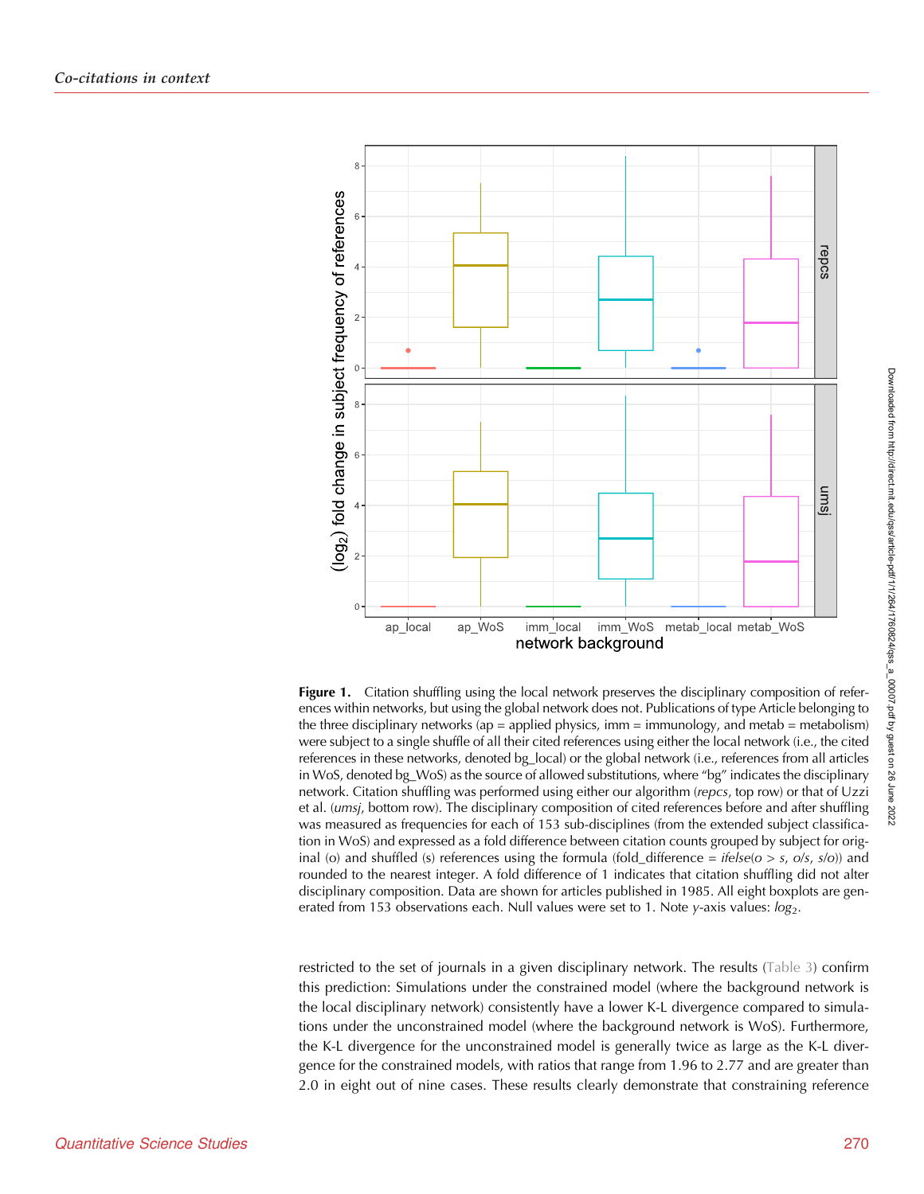<span id="page-6-0"></span>

**Figure 1.** Citation shuffling using the local network preserves the disciplinary composition of references within networks, but using the global network does not. Publications of type Article belonging to the three disciplinary networks (ap = applied physics, imm = immunology, and metab = metabolism) were subject to a single shuffle of all their cited references using either the local network (i.e., the cited references in these networks, denoted bg\_local) or the global network (i.e., references from all articles in WoS, denoted bg\_WoS) as the source of allowed substitutions, where "bg" indicates the disciplinary network. Citation shuffling was performed using either our algorithm (repcs, top row) or that of Uzzi et al. (umsj, bottom row). The disciplinary composition of cited references before and after shuffling was measured as frequencies for each of 153 sub-disciplines (from the extended subject classification in WoS) and expressed as a fold difference between citation counts grouped by subject for original (o) and shuffled (s) references using the formula (fold\_difference = ifelse( $o > s$ ,  $o/s$ ,  $s/o$ )) and rounded to the nearest integer. A fold difference of 1 indicates that citation shuffling did not alter disciplinary composition. Data are shown for articles published in 1985. All eight boxplots are generated from 153 observations each. Null values were set to 1. Note y-axis values:  $log_2$ .

restricted to the set of journals in a given disciplinary network. The results [\(Table 3](#page-7-0)) confirm this prediction: Simulations under the constrained model (where the background network is the local disciplinary network) consistently have a lower K-L divergence compared to simulations under the unconstrained model (where the background network is WoS). Furthermore, the K-L divergence for the unconstrained model is generally twice as large as the K-L divergence for the constrained models, with ratios that range from 1.96 to 2.77 and are greater than 2.0 in eight out of nine cases. These results clearly demonstrate that constraining reference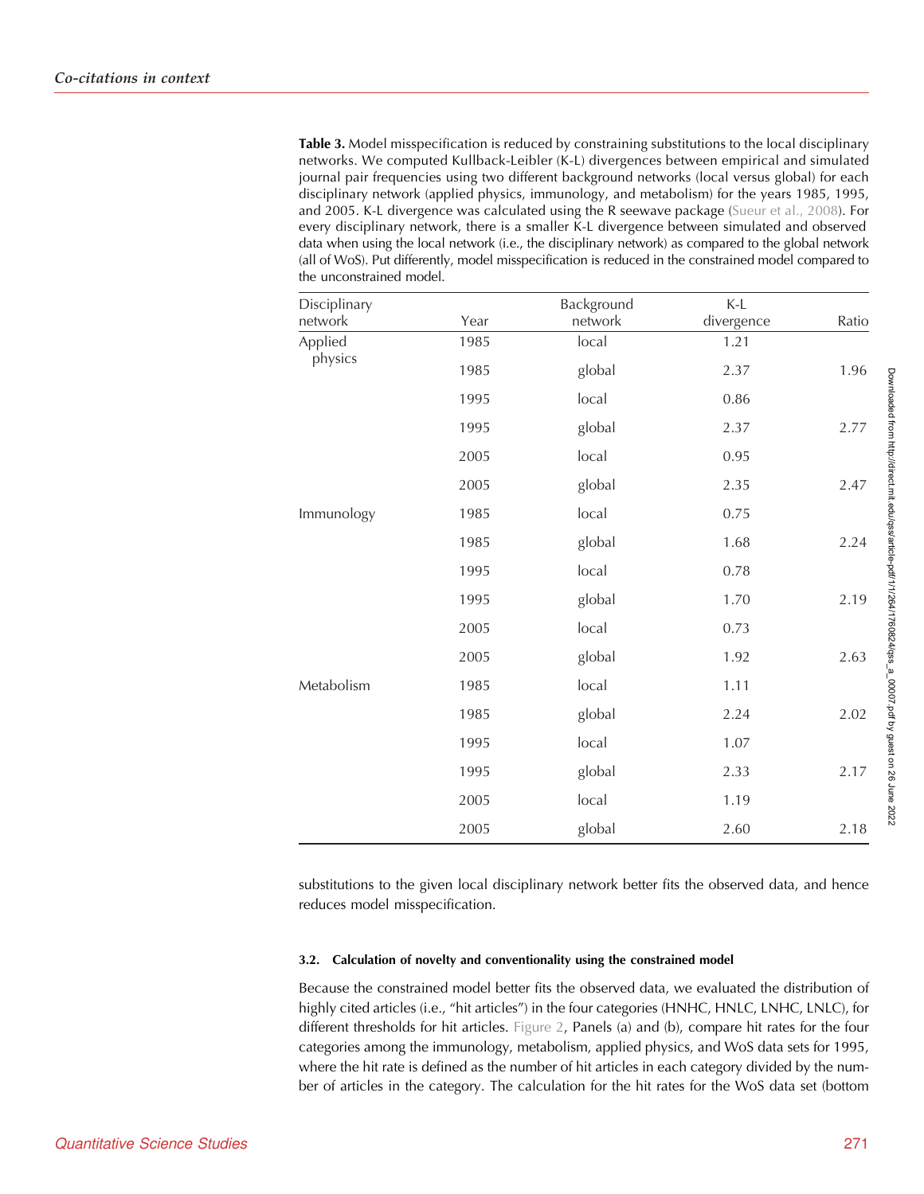<span id="page-7-0"></span>

| <b>Table 3.</b> Model misspecification is reduced by constraining substitutions to the local disciplinary |
|-----------------------------------------------------------------------------------------------------------|
| networks. We computed Kullback-Leibler (K-L) divergences between empirical and simulated                  |
| journal pair frequencies using two different background networks (local versus global) for each           |
| disciplinary network (applied physics, immunology, and metabolism) for the years 1985, 1995,              |
| and 2005. K-L divergence was calculated using the R seewave package (Sueur et al., 2008). For             |
| every disciplinary network, there is a smaller K-L divergence between simulated and observed              |
| data when using the local network (i.e., the disciplinary network) as compared to the global network      |
| (all of WoS). Put differently, model misspecification is reduced in the constrained model compared to     |
| the unconstrained model.                                                                                  |

| Disciplinary<br>network | Year | Background<br>network | $K-L$<br>divergence | Ratio |
|-------------------------|------|-----------------------|---------------------|-------|
| Applied                 | 1985 | local                 | 1.21                |       |
| physics                 | 1985 | global                | 2.37                | 1.96  |
|                         | 1995 | local                 | 0.86                |       |
|                         | 1995 | global                | 2.37                | 2.77  |
|                         | 2005 | local                 | 0.95                |       |
|                         | 2005 | global                | 2.35                | 2.47  |
| Immunology              | 1985 | local                 | 0.75                |       |
|                         | 1985 | global                | 1.68                | 2.24  |
|                         | 1995 | local                 | 0.78                |       |
|                         | 1995 | global                | 1.70                | 2.19  |
|                         | 2005 | local                 | 0.73                |       |
|                         | 2005 | global                | 1.92                | 2.63  |
| Metabolism              | 1985 | local                 | 1.11                |       |
|                         | 1985 | global                | 2.24                | 2.02  |
|                         | 1995 | local                 | 1.07                |       |
|                         | 1995 | global                | 2.33                | 2.17  |
|                         | 2005 | local                 | 1.19                |       |
|                         | 2005 | global                | 2.60                | 2.18  |

substitutions to the given local disciplinary network better fits the observed data, and hence reduces model misspecification.

## 3.2. Calculation of novelty and conventionality using the constrained model

Because the constrained model better fits the observed data, we evaluated the distribution of highly cited articles (i.e., "hit articles") in the four categories (HNHC, HNLC, LNHC, LNLC), for different thresholds for hit articles. [Figure 2,](#page-8-0) Panels (a) and (b), compare hit rates for the four categories among the immunology, metabolism, applied physics, and WoS data sets for 1995, where the hit rate is defined as the number of hit articles in each category divided by the number of articles in the category. The calculation for the hit rates for the WoS data set (bottom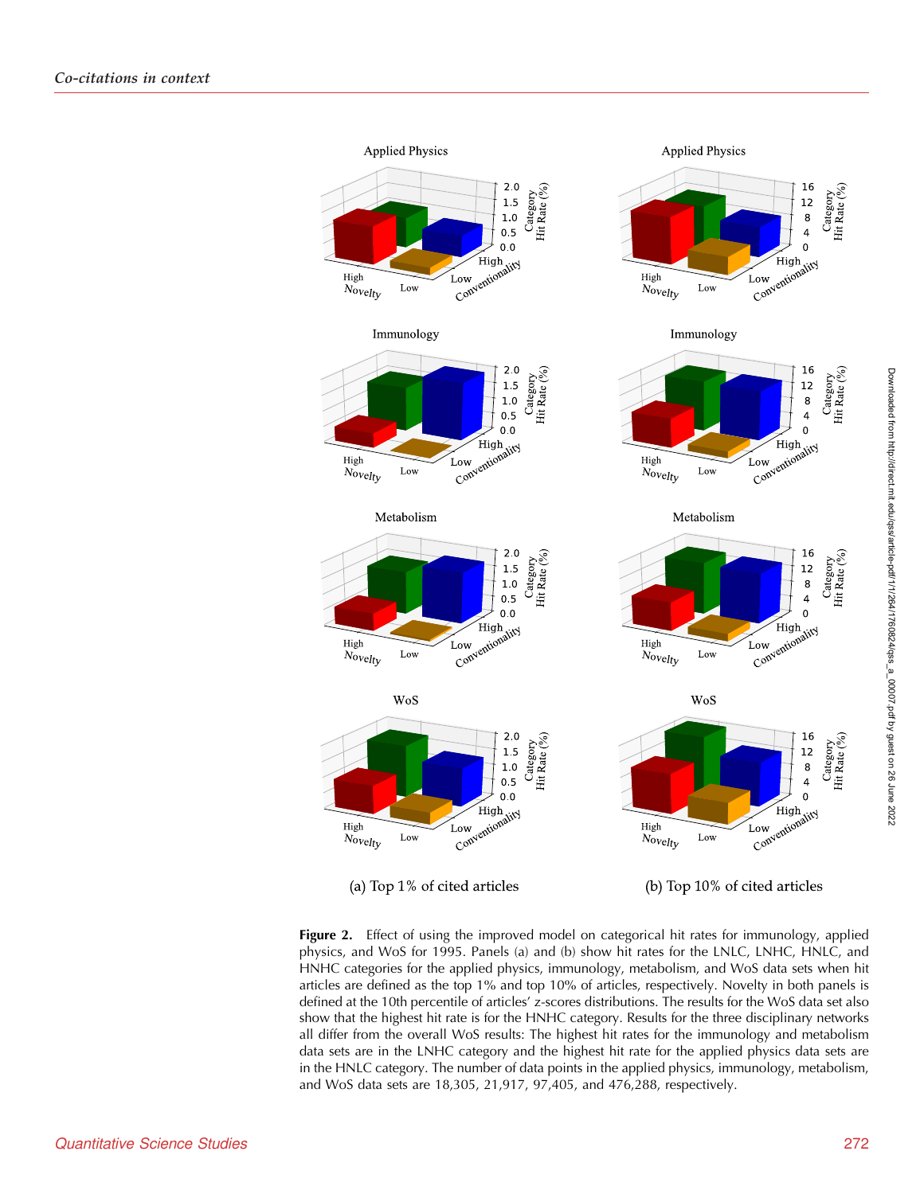<span id="page-8-0"></span>

Figure 2. Effect of using the improved model on categorical hit rates for immunology, applied physics, and WoS for 1995. Panels (a) and (b) show hit rates for the LNLC, LNHC, HNLC, and HNHC categories for the applied physics, immunology, metabolism, and WoS data sets when hit articles are defined as the top 1% and top 10% of articles, respectively. Novelty in both panels is defined at the 10th percentile of articles' z-scores distributions. The results for the WoS data set also show that the highest hit rate is for the HNHC category. Results for the three disciplinary networks all differ from the overall WoS results: The highest hit rates for the immunology and metabolism data sets are in the LNHC category and the highest hit rate for the applied physics data sets are in the HNLC category. The number of data points in the applied physics, immunology, metabolism, and WoS data sets are 18,305, 21,917, 97,405, and 476,288, respectively.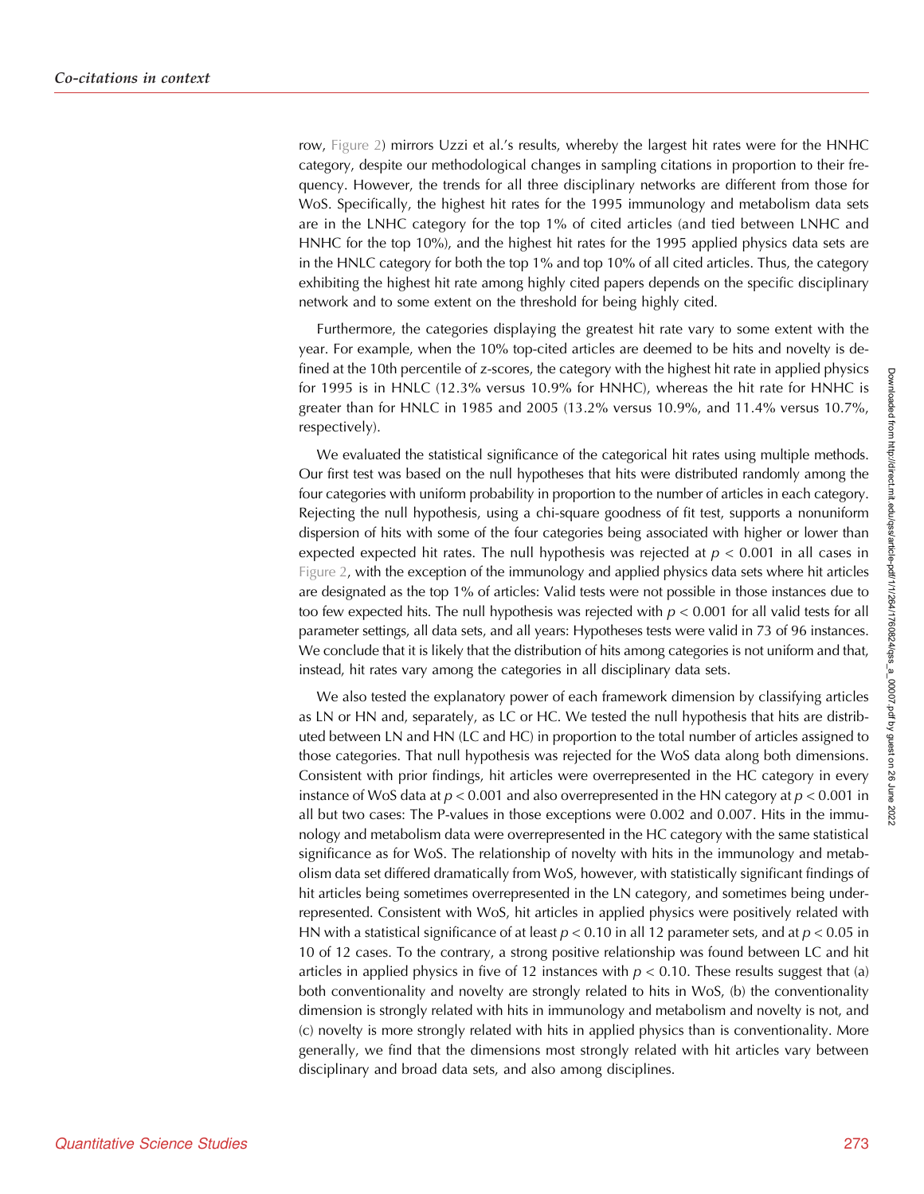row, [Figure 2](#page-8-0)) mirrors Uzzi et al.'s results, whereby the largest hit rates were for the HNHC category, despite our methodological changes in sampling citations in proportion to their frequency. However, the trends for all three disciplinary networks are different from those for WoS. Specifically, the highest hit rates for the 1995 immunology and metabolism data sets are in the LNHC category for the top 1% of cited articles (and tied between LNHC and HNHC for the top 10%), and the highest hit rates for the 1995 applied physics data sets are in the HNLC category for both the top 1% and top 10% of all cited articles. Thus, the category exhibiting the highest hit rate among highly cited papers depends on the specific disciplinary network and to some extent on the threshold for being highly cited.

Furthermore, the categories displaying the greatest hit rate vary to some extent with the year. For example, when the 10% top-cited articles are deemed to be hits and novelty is defined at the 10th percentile of z-scores, the category with the highest hit rate in applied physics for 1995 is in HNLC (12.3% versus 10.9% for HNHC), whereas the hit rate for HNHC is greater than for HNLC in 1985 and 2005 (13.2% versus 10.9%, and 11.4% versus 10.7%, respectively).

We evaluated the statistical significance of the categorical hit rates using multiple methods. Our first test was based on the null hypotheses that hits were distributed randomly among the four categories with uniform probability in proportion to the number of articles in each category. Rejecting the null hypothesis, using a chi-square goodness of fit test, supports a nonuniform dispersion of hits with some of the four categories being associated with higher or lower than expected expected hit rates. The null hypothesis was rejected at  $p < 0.001$  in all cases in [Figure 2](#page-8-0), with the exception of the immunology and applied physics data sets where hit articles are designated as the top 1% of articles: Valid tests were not possible in those instances due to too few expected hits. The null hypothesis was rejected with  $p < 0.001$  for all valid tests for all parameter settings, all data sets, and all years: Hypotheses tests were valid in 73 of 96 instances. We conclude that it is likely that the distribution of hits among categories is not uniform and that, instead, hit rates vary among the categories in all disciplinary data sets.

We also tested the explanatory power of each framework dimension by classifying articles as LN or HN and, separately, as LC or HC. We tested the null hypothesis that hits are distributed between LN and HN (LC and HC) in proportion to the total number of articles assigned to those categories. That null hypothesis was rejected for the WoS data along both dimensions. Consistent with prior findings, hit articles were overrepresented in the HC category in every instance of WoS data at  $p < 0.001$  and also overrepresented in the HN category at  $p < 0.001$  in all but two cases: The P-values in those exceptions were 0.002 and 0.007. Hits in the immunology and metabolism data were overrepresented in the HC category with the same statistical significance as for WoS. The relationship of novelty with hits in the immunology and metabolism data set differed dramatically from WoS, however, with statistically significant findings of hit articles being sometimes overrepresented in the LN category, and sometimes being underrepresented. Consistent with WoS, hit articles in applied physics were positively related with HN with a statistical significance of at least  $p < 0.10$  in all 12 parameter sets, and at  $p < 0.05$  in 10 of 12 cases. To the contrary, a strong positive relationship was found between LC and hit articles in applied physics in five of 12 instances with  $p < 0.10$ . These results suggest that (a) both conventionality and novelty are strongly related to hits in WoS, (b) the conventionality dimension is strongly related with hits in immunology and metabolism and novelty is not, and (c) novelty is more strongly related with hits in applied physics than is conventionality. More generally, we find that the dimensions most strongly related with hit articles vary between disciplinary and broad data sets, and also among disciplines.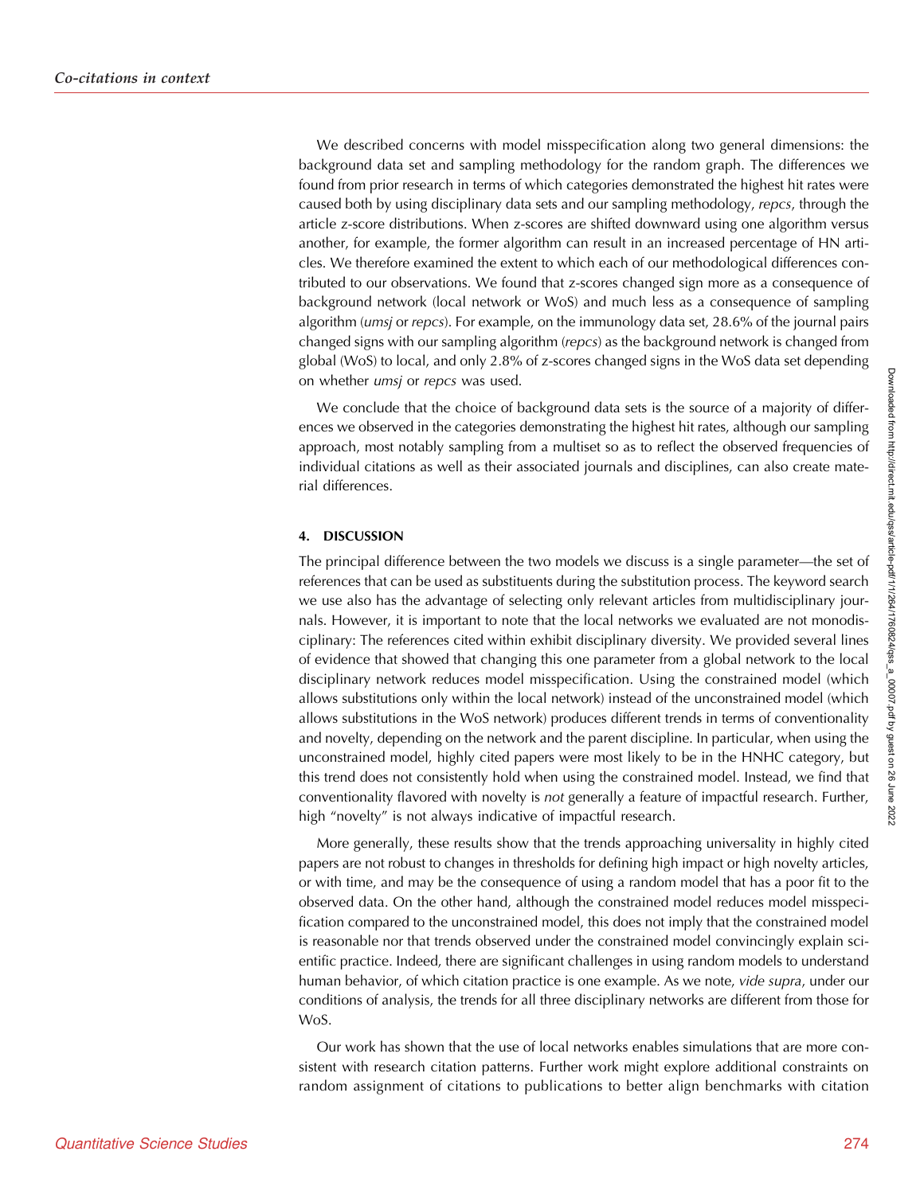We described concerns with model misspecification along two general dimensions: the background data set and sampling methodology for the random graph. The differences we found from prior research in terms of which categories demonstrated the highest hit rates were caused both by using disciplinary data sets and our sampling methodology, repcs, through the article z-score distributions. When z-scores are shifted downward using one algorithm versus another, for example, the former algorithm can result in an increased percentage of HN articles. We therefore examined the extent to which each of our methodological differences contributed to our observations. We found that z-scores changed sign more as a consequence of background network (local network or WoS) and much less as a consequence of sampling algorithm (umsj or repcs). For example, on the immunology data set, 28.6% of the journal pairs changed signs with our sampling algorithm (repcs) as the background network is changed from global (WoS) to local, and only 2.8% of z-scores changed signs in the WoS data set depending on whether umsj or repcs was used.

We conclude that the choice of background data sets is the source of a majority of differences we observed in the categories demonstrating the highest hit rates, although our sampling approach, most notably sampling from a multiset so as to reflect the observed frequencies of individual citations as well as their associated journals and disciplines, can also create material differences.

## 4. DISCUSSION

The principal difference between the two models we discuss is a single parameter—the set of references that can be used as substituents during the substitution process. The keyword search we use also has the advantage of selecting only relevant articles from multidisciplinary journals. However, it is important to note that the local networks we evaluated are not monodisciplinary: The references cited within exhibit disciplinary diversity. We provided several lines of evidence that showed that changing this one parameter from a global network to the local disciplinary network reduces model misspecification. Using the constrained model (which allows substitutions only within the local network) instead of the unconstrained model (which allows substitutions in the WoS network) produces different trends in terms of conventionality and novelty, depending on the network and the parent discipline. In particular, when using the unconstrained model, highly cited papers were most likely to be in the HNHC category, but this trend does not consistently hold when using the constrained model. Instead, we find that conventionality flavored with novelty is not generally a feature of impactful research. Further, high "novelty" is not always indicative of impactful research.

More generally, these results show that the trends approaching universality in highly cited papers are not robust to changes in thresholds for defining high impact or high novelty articles, or with time, and may be the consequence of using a random model that has a poor fit to the observed data. On the other hand, although the constrained model reduces model misspecification compared to the unconstrained model, this does not imply that the constrained model is reasonable nor that trends observed under the constrained model convincingly explain scientific practice. Indeed, there are significant challenges in using random models to understand human behavior, of which citation practice is one example. As we note, *vide supra*, under our conditions of analysis, the trends for all three disciplinary networks are different from those for WoS.

Our work has shown that the use of local networks enables simulations that are more consistent with research citation patterns. Further work might explore additional constraints on random assignment of citations to publications to better align benchmarks with citation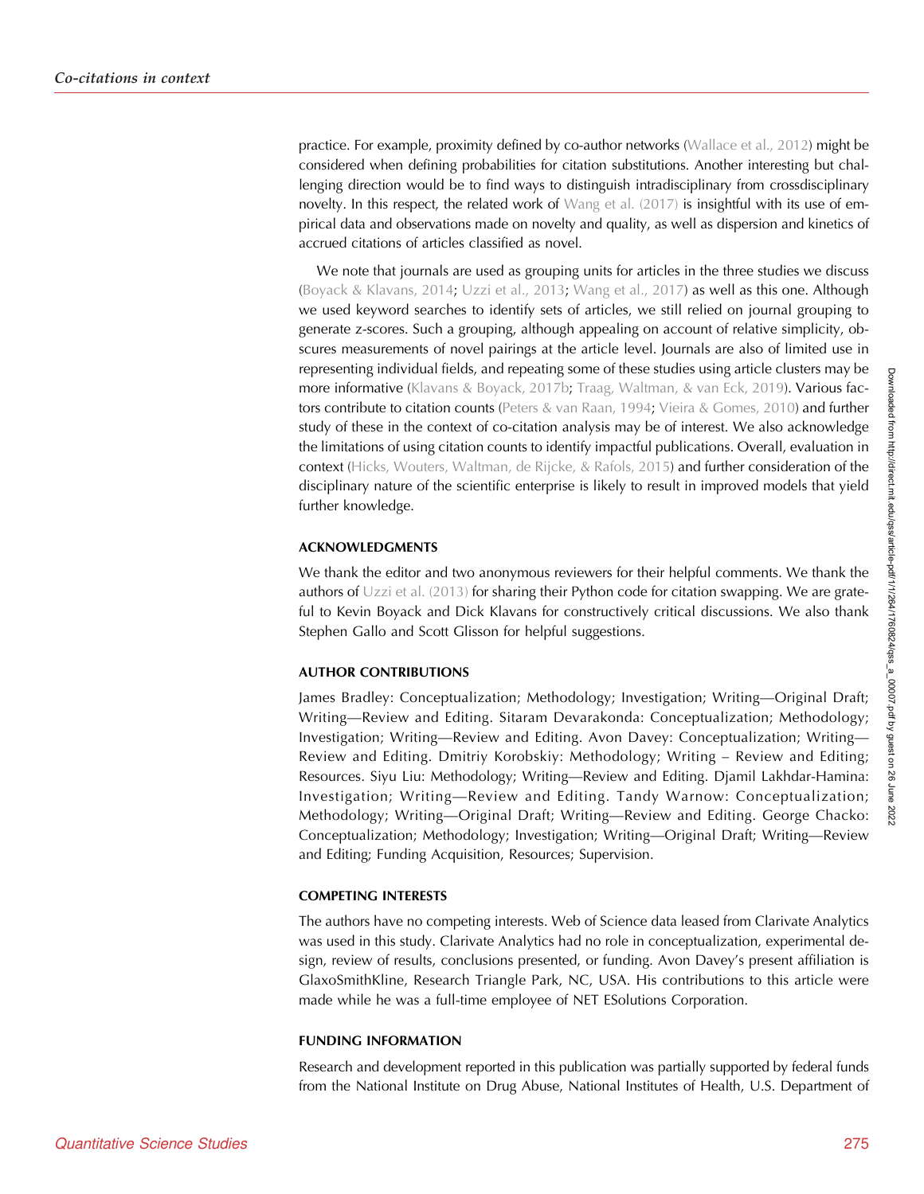practice. For example, proximity defined by co-author networks ([Wallace et al., 2012](#page-12-0)) might be considered when defining probabilities for citation substitutions. Another interesting but challenging direction would be to find ways to distinguish intradisciplinary from crossdisciplinary novelty. In this respect, the related work of [Wang et al. \(2017\)](#page-12-0) is insightful with its use of empirical data and observations made on novelty and quality, as well as dispersion and kinetics of accrued citations of articles classified as novel.

We note that journals are used as grouping units for articles in the three studies we discuss ([Boyack & Klavans, 2014;](#page-12-0) [Uzzi et al., 2013;](#page-12-0) [Wang et al., 2017](#page-12-0)) as well as this one. Although we used keyword searches to identify sets of articles, we still relied on journal grouping to generate z-scores. Such a grouping, although appealing on account of relative simplicity, obscures measurements of novel pairings at the article level. Journals are also of limited use in representing individual fields, and repeating some of these studies using article clusters may be more informative [\(Klavans & Boyack, 2017b](#page-12-0); [Traag, Waltman, & van Eck, 2019\)](#page-12-0). Various factors contribute to citation counts ([Peters & van Raan, 1994;](#page-12-0) [Vieira & Gomes, 2010](#page-12-0)) and further study of these in the context of co-citation analysis may be of interest. We also acknowledge the limitations of using citation counts to identify impactful publications. Overall, evaluation in context ([Hicks, Wouters, Waltman, de Rijcke, & Rafols, 2015](#page-12-0)) and further consideration of the disciplinary nature of the scientific enterprise is likely to result in improved models that yield further knowledge.

# ACKNOWLEDGMENTS

We thank the editor and two anonymous reviewers for their helpful comments. We thank the authors of [Uzzi et al. \(2013\)](#page-12-0) for sharing their Python code for citation swapping. We are grateful to Kevin Boyack and Dick Klavans for constructively critical discussions. We also thank Stephen Gallo and Scott Glisson for helpful suggestions.

# AUTHOR CONTRIBUTIONS

James Bradley: Conceptualization; Methodology; Investigation; Writing—Original Draft; Writing—Review and Editing. Sitaram Devarakonda: Conceptualization; Methodology; Investigation; Writing—Review and Editing. Avon Davey: Conceptualization; Writing— Review and Editing. Dmitriy Korobskiy: Methodology; Writing – Review and Editing; Resources. Siyu Liu: Methodology; Writing—Review and Editing. Djamil Lakhdar-Hamina: Investigation; Writing—Review and Editing. Tandy Warnow: Conceptualization; Methodology; Writing—Original Draft; Writing—Review and Editing. George Chacko: Conceptualization; Methodology; Investigation; Writing—Original Draft; Writing—Review and Editing; Funding Acquisition, Resources; Supervision.

## COMPETING INTERESTS

The authors have no competing interests. Web of Science data leased from Clarivate Analytics was used in this study. Clarivate Analytics had no role in conceptualization, experimental design, review of results, conclusions presented, or funding. Avon Davey's present affiliation is GlaxoSmithKline, Research Triangle Park, NC, USA. His contributions to this article were made while he was a full-time employee of NET ESolutions Corporation.

## FUNDING INFORMATION

Research and development reported in this publication was partially supported by federal funds from the National Institute on Drug Abuse, National Institutes of Health, U.S. Department of